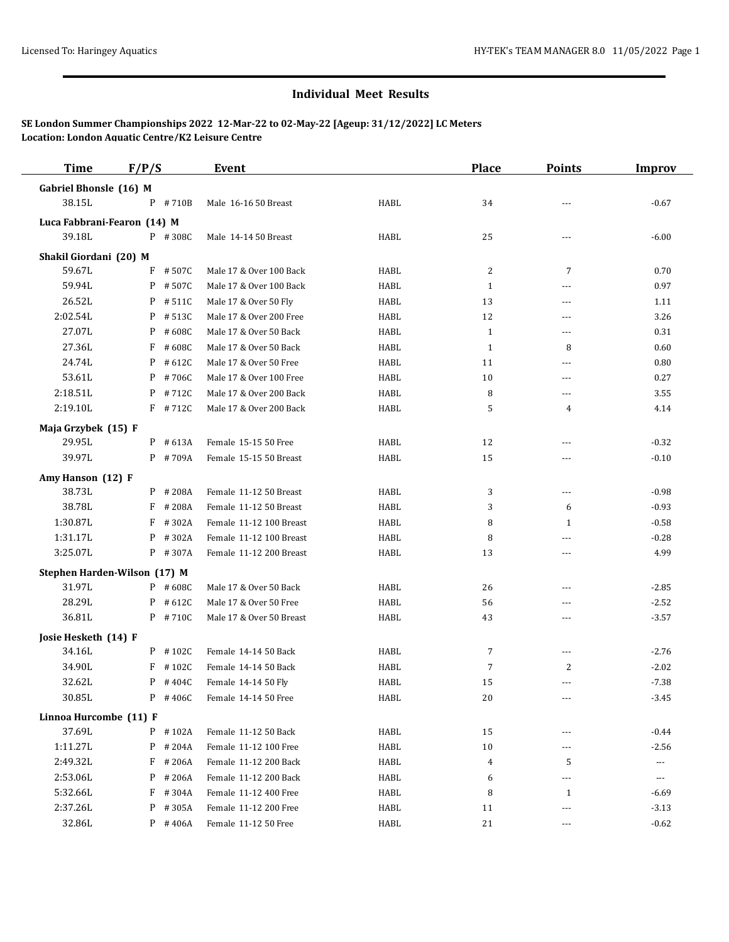## **Individual Meet Results**

## **SE London Summer Championships 2022 12-Mar-22 to 02-May-22 [Ageup: 31/12/2022] LC Meters Location: London Aquatic Centre/K2 Leisure Centre**

| <b>Time</b>                  | F/P/S |            | Event                    |      | <b>Place</b>   | <b>Points</b>  | <b>Improv</b> |
|------------------------------|-------|------------|--------------------------|------|----------------|----------------|---------------|
| Gabriel Bhonsle (16) M       |       |            |                          |      |                |                |               |
| 38.15L                       |       | P #710B    | Male 16-16 50 Breast     | HABL | 34             |                | $-0.67$       |
| Luca Fabbrani-Fearon (14) M  |       |            |                          |      |                |                |               |
| 39.18L                       |       | P #308C    | Male 14-14 50 Breast     | HABL | 25             | ---            | $-6.00$       |
| Shakil Giordani (20) M       |       |            |                          |      |                |                |               |
| 59.67L                       |       | $F$ #507C  | Male 17 & Over 100 Back  | HABL | $\overline{c}$ | 7              | 0.70          |
| 59.94L                       | P     | #507C      | Male 17 & Over 100 Back  | HABL | $\mathbf{1}$   | ---            | 0.97          |
| 26.52L                       | P     | # 511C     | Male 17 & Over 50 Fly    | HABL | 13             | $\cdots$       | 1.11          |
| 2:02.54L                     | P     | #513C      | Male 17 & Over 200 Free  | HABL | 12             | $\overline{a}$ | 3.26          |
| 27.07L                       | P     | #608C      | Male 17 & Over 50 Back   | HABL | $\mathbf{1}$   | $---$          | 0.31          |
| 27.36L                       | F     | #608C      | Male 17 & Over 50 Back   | HABL | $\mathbf{1}$   | 8              | 0.60          |
| 24.74L                       | P     | #612C      | Male 17 & Over 50 Free   | HABL | 11             | $\cdots$       | 0.80          |
| 53.61L                       | P     | #706C      | Male 17 & Over 100 Free  | HABL | 10             | $- - -$        | 0.27          |
| 2:18.51L                     | P     | #712C      | Male 17 & Over 200 Back  | HABL | 8              | ---            | 3.55          |
| 2:19.10L                     |       | $F$ #712C  | Male 17 & Over 200 Back  | HABL | 5              | 4              | 4.14          |
| Maja Grzybek (15) F          |       |            |                          |      |                |                |               |
| 29.95L                       |       | $P$ # 613A | Female 15-15 50 Free     | HABL | 12             | $---$          | $-0.32$       |
| 39.97L                       |       | $P$ #709A  | Female 15-15 50 Breast   | HABL | 15             | ---            | $-0.10$       |
|                              |       |            |                          |      |                |                |               |
| Amy Hanson (12) F<br>38.73L  |       | $P$ # 208A | Female 11-12 50 Breast   | HABL | 3              | $\overline{a}$ | $-0.98$       |
| 38.78L                       | F     | #208A      | Female 11-12 50 Breast   | HABL | 3              | 6              | $-0.93$       |
| 1:30.87L                     | F     | #302A      | Female 11-12 100 Breast  | HABL | 8              | $\mathbf{1}$   | $-0.58$       |
| 1:31.17L                     | P     | #302A      | Female 11-12 100 Breast  | HABL | 8              | $\overline{a}$ | $-0.28$       |
| 3:25.07L                     |       | P #307A    | Female 11-12 200 Breast  | HABL | 13             | $\overline{a}$ | 4.99          |
|                              |       |            |                          |      |                |                |               |
| Stephen Harden-Wilson (17) M |       |            |                          |      |                |                |               |
| 31.97L                       |       | $P$ # 608C | Male 17 & Over 50 Back   | HABL | 26             | ---            | $-2.85$       |
| 28.29L                       |       | $P$ # 612C | Male 17 & Over 50 Free   | HABL | 56             | $\overline{a}$ | $-2.52$       |
| 36.81L                       |       | P #710C    | Male 17 & Over 50 Breast | HABL | 43             | ---            | $-3.57$       |
| Josie Hesketh (14) F         |       |            |                          |      |                |                |               |
| 34.16L                       |       | $P$ #102C  | Female 14-14 50 Back     | HABL | 7              | ---            | $-2.76$       |
| 34.90L                       | F     | #102C      | Female 14-14 50 Back     | HABL | $\overline{7}$ | 2              | $-2.02$       |
| 32.62L                       |       | $P$ #404C  | Female 14-14 50 Fly      | HABL | 15             | ---            | $-7.38$       |
| 30.85L                       |       | P #406C    | Female 14-14 50 Free     | HABL | 20             | $---$          | $-3.45$       |
| Linnoa Hurcombe (11) F       |       |            |                          |      |                |                |               |
| 37.69L                       |       | $P$ # 102A | Female 11-12 50 Back     | HABL | 15             | ---            | $-0.44$       |
| 1:11.27L                     | P     | #204A      | Female 11-12 100 Free    | HABL | 10             | $\cdots$       | $-2.56$       |
| 2:49.32L                     | F     | #206A      | Female 11-12 200 Back    | HABL | $\overline{4}$ | 5              | $\cdots$      |
| 2:53.06L                     | P     | #206A      | Female 11-12 200 Back    | HABL | 6              | $---$          | $\cdots$      |
| 5:32.66L                     | F     | #304A      | Female 11-12 400 Free    | HABL | 8              | $\mathbf{1}$   | $-6.69$       |
| 2:37.26L                     | P     | #305A      | Female 11-12 200 Free    | HABL | 11             | $\cdots$       | $-3.13$       |
| 32.86L                       |       | $P$ # 406A | Female 11-12 50 Free     | HABL | 21             | $\overline{a}$ | $-0.62$       |
|                              |       |            |                          |      |                |                |               |